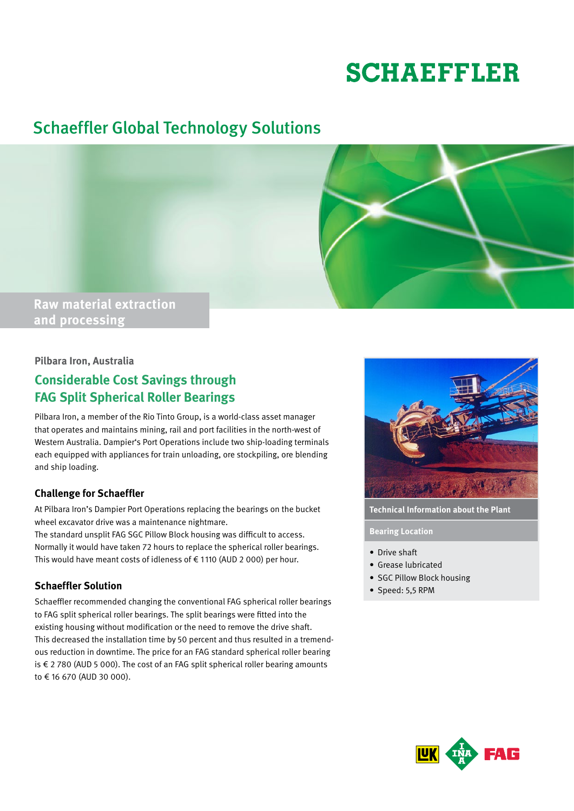# **SCHAEFFLER**

## Schaeffler Global Technology Solutions



## **and processing**

#### **Pilbara Iron, Australia**

### **Considerable Cost Savings through FAG Split Spherical Roller Bearings**

Pilbara Iron, a member of the Rio Tinto Group, is a world-class asset manager that operates and maintains mining, rail and port facilities in the north-west of Western Australia. Dampier's Port Operations include two ship-loading terminals each equipped with appliances for train unloading, ore stockpiling, ore blending and ship loading.

#### **Challenge for Schaeffler**

At Pilbara Iron's Dampier Port Operations replacing the bearings on the bucket wheel excavator drive was a maintenance nightmare.

The standard unsplit FAG SGC Pillow Block housing was difficult to access. Normally it would have taken 72 hours to replace the spherical roller bearings. This would have meant costs of idleness of  $\epsilon$  1110 (AUD 2 000) per hour.

#### **Schaeffler Solution**

Schaeffler recommended changing the conventional FAG spherical roller bearings to FAG split spherical roller bearings. The split bearings were fitted into the existing housing without modification or the need to remove the drive shaft. This decreased the installation time by 50 percent and thus resulted in a tremendous reduction in downtime. The price for an FAG standard spherical roller bearing is € 2 780 (AUD 5 000). The cost of an FAG split spherical roller bearing amounts to € 16 670 (AUD 30 000).



**Technical Information about the Plant**

**Bearing Location**

- • Drive shaft
- • Grease lubricated
- SGC Pillow Block housing
- Speed: 5,5 RPM